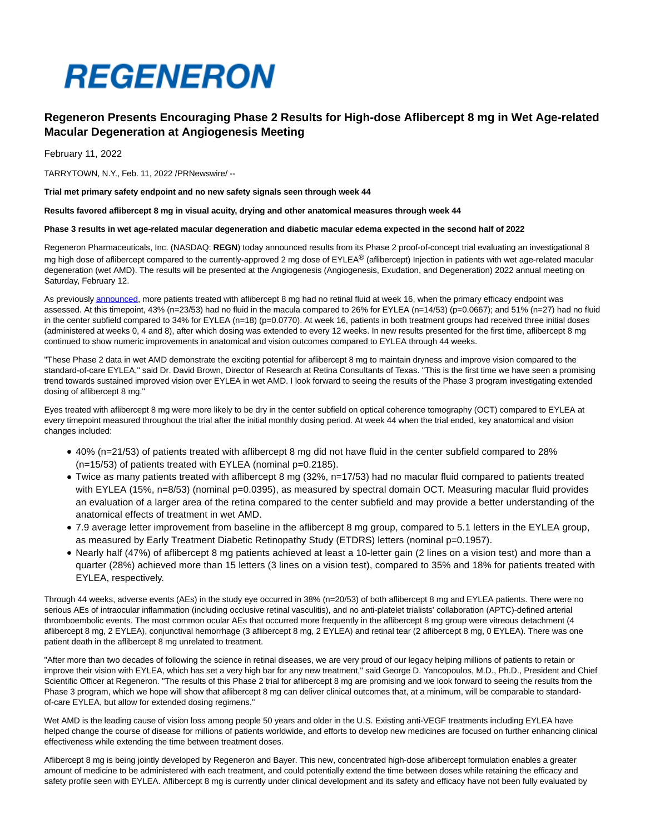

# **Regeneron Presents Encouraging Phase 2 Results for High-dose Aflibercept 8 mg in Wet Age-related Macular Degeneration at Angiogenesis Meeting**

February 11, 2022

TARRYTOWN, N.Y., Feb. 11, 2022 /PRNewswire/ --

**Trial met primary safety endpoint and no new safety signals seen through week 44**

**Results favored aflibercept 8 mg in visual acuity, drying and other anatomical measures through week 44**

#### **Phase 3 results in wet age-related macular degeneration and diabetic macular edema expected in the second half of 2022**

Regeneron Pharmaceuticals, Inc. (NASDAQ: **REGN**) today announced results from its Phase 2 proof-of-concept trial evaluating an investigational 8 mg high dose of aflibercept compared to the currently-approved 2 mg dose of EYLEA® (aflibercept) Injection in patients with wet age-related macular degeneration (wet AMD). The results will be presented at the Angiogenesis (Angiogenesis, Exudation, and Degeneration) 2022 annual meeting on Saturday, February 12.

As previousl[y announced,](https://c212.net/c/link/?t=0&l=en&o=3441258-1&h=738220886&u=https%3A%2F%2Fnewsroom.regeneron.com%2Fnews-releases%2Fnews-release-details%2Fregeneron-announces-encouraging-topline-phase-2-data-high-dose&a=announced) more patients treated with aflibercept 8 mg had no retinal fluid at week 16, when the primary efficacy endpoint was assessed. At this timepoint, 43% (n=23/53) had no fluid in the macula compared to 26% for EYLEA (n=14/53) (p=0.0667); and 51% (n=27) had no fluid in the center subfield compared to 34% for EYLEA (n=18) (p=0.0770). At week 16, patients in both treatment groups had received three initial doses (administered at weeks 0, 4 and 8), after which dosing was extended to every 12 weeks. In new results presented for the first time, aflibercept 8 mg continued to show numeric improvements in anatomical and vision outcomes compared to EYLEA through 44 weeks.

"These Phase 2 data in wet AMD demonstrate the exciting potential for aflibercept 8 mg to maintain dryness and improve vision compared to the standard-of-care EYLEA," said Dr. David Brown, Director of Research at Retina Consultants of Texas. "This is the first time we have seen a promising trend towards sustained improved vision over EYLEA in wet AMD. I look forward to seeing the results of the Phase 3 program investigating extended dosing of aflibercept 8 mg."

Eyes treated with aflibercept 8 mg were more likely to be dry in the center subfield on optical coherence tomography (OCT) compared to EYLEA at every timepoint measured throughout the trial after the initial monthly dosing period. At week 44 when the trial ended, key anatomical and vision changes included:

- 40% (n=21/53) of patients treated with aflibercept 8 mg did not have fluid in the center subfield compared to 28%  $(n=15/53)$  of patients treated with EYLEA (nominal  $p=0.2185$ ).
- Twice as many patients treated with aflibercept 8 mg (32%, n=17/53) had no macular fluid compared to patients treated with EYLEA (15%, n=8/53) (nominal p=0.0395), as measured by spectral domain OCT. Measuring macular fluid provides an evaluation of a larger area of the retina compared to the center subfield and may provide a better understanding of the anatomical effects of treatment in wet AMD.
- 7.9 average letter improvement from baseline in the aflibercept 8 mg group, compared to 5.1 letters in the EYLEA group, as measured by Early Treatment Diabetic Retinopathy Study (ETDRS) letters (nominal p=0.1957).
- Nearly half (47%) of aflibercept 8 mg patients achieved at least a 10-letter gain (2 lines on a vision test) and more than a quarter (28%) achieved more than 15 letters (3 lines on a vision test), compared to 35% and 18% for patients treated with EYLEA, respectively.

Through 44 weeks, adverse events (AEs) in the study eye occurred in 38% (n=20/53) of both aflibercept 8 mg and EYLEA patients. There were no serious AEs of intraocular inflammation (including occlusive retinal vasculitis), and no anti-platelet trialists' collaboration (APTC)-defined arterial thromboembolic events. The most common ocular AEs that occurred more frequently in the aflibercept 8 mg group were vitreous detachment (4 aflibercept 8 mg, 2 EYLEA), conjunctival hemorrhage (3 aflibercept 8 mg, 2 EYLEA) and retinal tear (2 aflibercept 8 mg, 0 EYLEA). There was one patient death in the aflibercept 8 mg unrelated to treatment.

"After more than two decades of following the science in retinal diseases, we are very proud of our legacy helping millions of patients to retain or improve their vision with EYLEA, which has set a very high bar for any new treatment," said George D. Yancopoulos, M.D., Ph.D., President and Chief Scientific Officer at Regeneron. "The results of this Phase 2 trial for aflibercept 8 mg are promising and we look forward to seeing the results from the Phase 3 program, which we hope will show that aflibercept 8 mg can deliver clinical outcomes that, at a minimum, will be comparable to standardof-care EYLEA, but allow for extended dosing regimens."

Wet AMD is the leading cause of vision loss among people 50 years and older in the U.S. Existing anti-VEGF treatments including EYLEA have helped change the course of disease for millions of patients worldwide, and efforts to develop new medicines are focused on further enhancing clinical effectiveness while extending the time between treatment doses.

Aflibercept 8 mg is being jointly developed by Regeneron and Bayer. This new, concentrated high-dose aflibercept formulation enables a greater amount of medicine to be administered with each treatment, and could potentially extend the time between doses while retaining the efficacy and safety profile seen with EYLEA. Aflibercept 8 mg is currently under clinical development and its safety and efficacy have not been fully evaluated by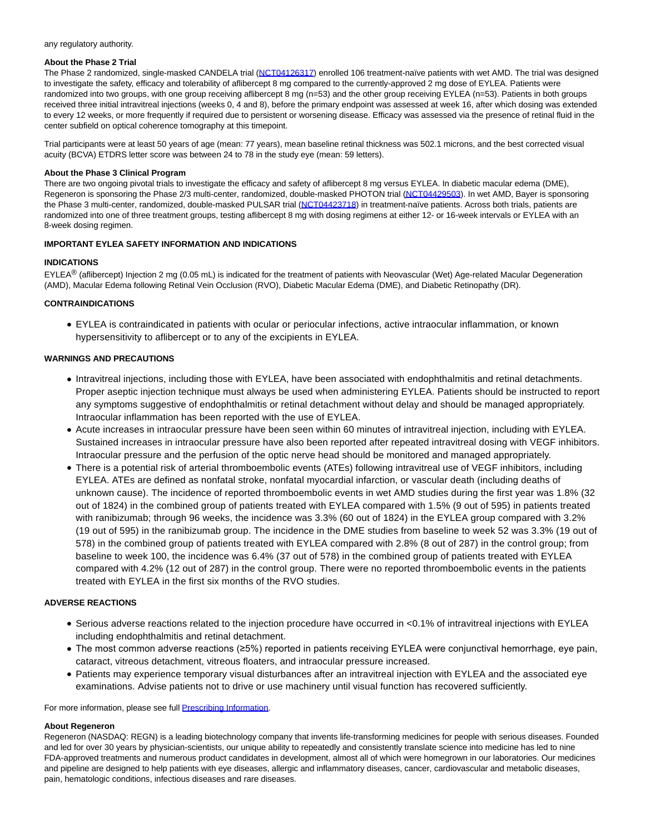#### any regulatory authority.

#### **About the Phase 2 Trial**

The Phase 2 randomized, single-masked CANDELA trial [\(NCT04126317\)](https://c212.net/c/link/?t=0&l=en&o=3441258-1&h=1299289035&u=https%3A%2F%2Fc212.net%2Fc%2Flink%2F%3Ft%3D0%26l%3Den%26o%3D3268287-1%26h%3D262085559%26u%3Dhttps%253A%252F%252Fclinicaltrials.gov%252Fct2%252Fshow%252FNCT04126317%253Fterm%253Dcandela%2526cond%253DWet%252BAge-related%252BMacular%252BDegeneration%2526draw%253D2%2526rank%253D1%26a%3DNCT04126317&a=NCT04126317) enrolled 106 treatment-naïve patients with wet AMD. The trial was designed to investigate the safety, efficacy and tolerability of aflibercept 8 mg compared to the currently-approved 2 mg dose of EYLEA. Patients were randomized into two groups, with one group receiving aflibercept 8 mg (n=53) and the other group receiving EYLEA (n=53). Patients in both groups received three initial intravitreal injections (weeks 0, 4 and 8), before the primary endpoint was assessed at week 16, after which dosing was extended to every 12 weeks, or more frequently if required due to persistent or worsening disease. Efficacy was assessed via the presence of retinal fluid in the center subfield on optical coherence tomography at this timepoint.

Trial participants were at least 50 years of age (mean: 77 years), mean baseline retinal thickness was 502.1 microns, and the best corrected visual acuity (BCVA) ETDRS letter score was between 24 to 78 in the study eye (mean: 59 letters).

## **About the Phase 3 Clinical Program**

There are two ongoing pivotal trials to investigate the efficacy and safety of aflibercept 8 mg versus EYLEA. In diabetic macular edema (DME), Regeneron is sponsoring the Phase 2/3 multi-center, randomized, double-masked PHOTON trial [\(NCT04429503\)](https://c212.net/c/link/?t=0&l=en&o=3441258-1&h=2585973112&u=https%3A%2F%2Fc212.net%2Fc%2Flink%2F%3Ft%3D0%26l%3Den%26o%3D3268287-1%26h%3D1661156692%26u%3Dhttps%253A%252F%252Fclinicaltrials.gov%252Fct2%252Fshow%252FNCT04429503%253Fterm%253DNCT04429503%2526draw%253D2%2526rank%253D1%26a%3DNCT04429503&a=NCT04429503). In wet AMD, Bayer is sponsoring the Phase 3 multi-center, randomized, double-masked PULSAR trial [\(NCT04423718\)](https://c212.net/c/link/?t=0&l=en&o=3441258-1&h=3175486344&u=https%3A%2F%2Fc212.net%2Fc%2Flink%2F%3Ft%3D0%26l%3Den%26o%3D3268287-1%26h%3D2904091243%26u%3Dhttps%253A%252F%252Fclinicaltrials.gov%252Fct2%252Fshow%252FNCT04423718%253Fterm%253DNCT04423718%2526draw%253D2%2526rank%253D1%26a%3DNCT04423718&a=NCT04423718) in treatment-naïve patients. Across both trials, patients are randomized into one of three treatment groups, testing aflibercept 8 mg with dosing regimens at either 12- or 16-week intervals or EYLEA with an 8-week dosing regimen.

## **IMPORTANT EYLEA SAFETY INFORMATION AND INDICATIONS**

## **INDICATIONS**

EYLEA<sup>®</sup> (aflibercept) Injection 2 mg (0.05 mL) is indicated for the treatment of patients with Neovascular (Wet) Age-related Macular Degeneration (AMD), Macular Edema following Retinal Vein Occlusion (RVO), Diabetic Macular Edema (DME), and Diabetic Retinopathy (DR).

## **CONTRAINDICATIONS**

EYLEA is contraindicated in patients with ocular or periocular infections, active intraocular inflammation, or known hypersensitivity to aflibercept or to any of the excipients in EYLEA.

# **WARNINGS AND PRECAUTIONS**

- Intravitreal injections, including those with EYLEA, have been associated with endophthalmitis and retinal detachments. Proper aseptic injection technique must always be used when administering EYLEA. Patients should be instructed to report any symptoms suggestive of endophthalmitis or retinal detachment without delay and should be managed appropriately. Intraocular inflammation has been reported with the use of EYLEA.
- Acute increases in intraocular pressure have been seen within 60 minutes of intravitreal injection, including with EYLEA. Sustained increases in intraocular pressure have also been reported after repeated intravitreal dosing with VEGF inhibitors. Intraocular pressure and the perfusion of the optic nerve head should be monitored and managed appropriately.
- There is a potential risk of arterial thromboembolic events (ATEs) following intravitreal use of VEGF inhibitors, including EYLEA. ATEs are defined as nonfatal stroke, nonfatal myocardial infarction, or vascular death (including deaths of unknown cause). The incidence of reported thromboembolic events in wet AMD studies during the first year was 1.8% (32 out of 1824) in the combined group of patients treated with EYLEA compared with 1.5% (9 out of 595) in patients treated with ranibizumab; through 96 weeks, the incidence was 3.3% (60 out of 1824) in the EYLEA group compared with 3.2% (19 out of 595) in the ranibizumab group. The incidence in the DME studies from baseline to week 52 was 3.3% (19 out of 578) in the combined group of patients treated with EYLEA compared with 2.8% (8 out of 287) in the control group; from baseline to week 100, the incidence was 6.4% (37 out of 578) in the combined group of patients treated with EYLEA compared with 4.2% (12 out of 287) in the control group. There were no reported thromboembolic events in the patients treated with EYLEA in the first six months of the RVO studies.

# **ADVERSE REACTIONS**

- Serious adverse reactions related to the injection procedure have occurred in <0.1% of intravitreal injections with EYLEA including endophthalmitis and retinal detachment.
- The most common adverse reactions (≥5%) reported in patients receiving EYLEA were conjunctival hemorrhage, eye pain, cataract, vitreous detachment, vitreous floaters, and intraocular pressure increased.
- Patients may experience temporary visual disturbances after an intravitreal injection with EYLEA and the associated eye examinations. Advise patients not to drive or use machinery until visual function has recovered sufficiently.

For more information, please see full **Prescribing Information**.

## **About Regeneron**

Regeneron (NASDAQ: REGN) is a leading biotechnology company that invents life-transforming medicines for people with serious diseases. Founded and led for over 30 years by physician-scientists, our unique ability to repeatedly and consistently translate science into medicine has led to nine FDA-approved treatments and numerous product candidates in development, almost all of which were homegrown in our laboratories. Our medicines and pipeline are designed to help patients with eye diseases, allergic and inflammatory diseases, cancer, cardiovascular and metabolic diseases, pain, hematologic conditions, infectious diseases and rare diseases.